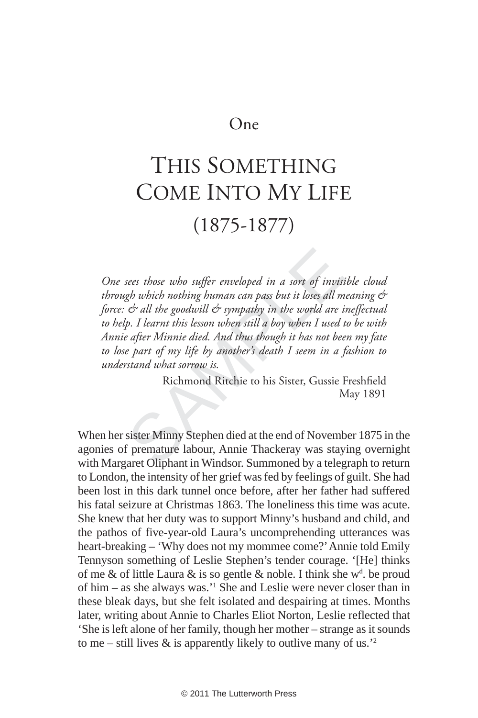## One

## THIS SOMETHING COME INTO MY LIFE (1875-1877)

sees those who suffer enveloped in a sort of invisty<br>gh which nothing human can pass but it loses all m<br>
or all the goodwill or sympathy in the world are in<br>the second of the second when still a boy when I used<br>
is a diffe One sees those who suffer enveloped in a sort of invisible cloud *through which nothing human can pass but it loses all meaning & force: & all the goodwill & sympathy in the world are ineffectual to help. I learnt this lesson when still a boy when I used to be with Annie after Minnie died. And thus though it has not been my fate to lose part of my life by another's death I seem in a fashion to understand what sorrow is.* 

Richmond Ritchie to his Sister, Gussie Freshfield May 1891

When her sister Minny Stephen died at the end of November 1875 in the agonies of premature labour, Annie Thackeray was staying overnight with Margaret Oliphant in Windsor. Summoned by a telegraph to return to London, the intensity of her grief was fed by feelings of guilt. She had been lost in this dark tunnel once before, after her father had suffered his fatal seizure at Christmas 1863. The loneliness this time was acute. She knew that her duty was to support Minny's husband and child, and the pathos of five-year-old Laura's uncomprehending utterances was heart-breaking – 'Why does not my mommee come?' Annie told Emily Tennyson something of Leslie Stephen's tender courage. '[He] thinks of me & of little Laura & is so gentle & noble. I think she  $w<sup>d</sup>$ . be proud of him – as she always was.' 1 She and Leslie were never closer than in these bleak days, but she felt isolated and despairing at times. Months later, writing about Annie to Charles Eliot Norton, Leslie reflected that 'She is left alone of her family, though her mother – strange as it sounds to me – still lives  $\&$  is apparently likely to outlive many of us.<sup>22</sup>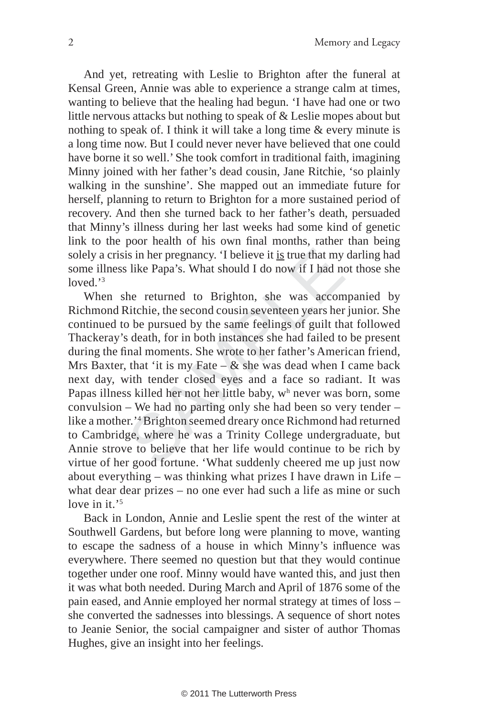And yet, retreating with Leslie to Brighton after the funeral at Kensal Green, Annie was able to experience a strange calm at times, wanting to believe that the healing had begun. 'I have had one or two little nervous attacks but nothing to speak of & Leslie mopes about but nothing to speak of. I think it will take a long time & every minute is a long time now. But I could never never have believed that one could have borne it so well.' She took comfort in traditional faith, imagining Minny joined with her father's dead cousin, Jane Ritchie, 'so plainly walking in the sunshine'. She mapped out an immediate future for herself, planning to return to Brighton for a more sustained period of recovery. And then she turned back to her father's death, persuaded that Minny's illness during her last weeks had some kind of genetic link to the poor health of his own final months, rather than being solely a crisis in her pregnancy. 'I believe it is true that my darling had some illness like Papa's. What should I do now if I had not those she loved.' 3

is in her pregnancy. T believe it is true that my<br>s like Papa's. What should I do now if I had n<br>he returned to Brighton, she was accon<br>Ritchie, the second cousin seventeen years her<br>o be pursued by the same feelings of g When she returned to Brighton, she was accompanied by Richmond Ritchie, the second cousin seventeen years her junior. She continued to be pursued by the same feelings of guilt that followed Thackeray's death, for in both instances she had failed to be present during the final moments. She wrote to her father's American friend, Mrs Baxter, that 'it is my Fate –  $\&$  she was dead when I came back next day, with tender closed eyes and a face so radiant. It was Papas illness killed her not her little baby, w h never was born, some convulsion – We had no parting only she had been so very tender – like a mother.' 4 Brighton seemed dreary once Richmond had returned to Cambridge, where he was a Trinity College undergraduate, but Annie strove to believe that her life would continue to be rich by virtue of her good fortune. 'What suddenly cheered me up just now about everything – was thinking what prizes I have drawn in Life – what dear dear prizes – no one ever had such a life as mine or such love in it.'<sup>5</sup>

Back in London, Annie and Leslie spent the rest of the winter at Southwell Gardens, but before long were planning to move, wanting to escape the sadness of a house in which Minny's influence was everywhere. There seemed no question but that they would continue together under one roof. Minny would have wanted this, and just then it was what both needed. During March and April of 1876 some of the pain eased, and Annie employed her normal strategy at times of loss – she converted the sadnesses into blessings. A sequence of short notes to Jeanie Senior, the social campaigner and sister of author Thomas Hughes, give an insight into her feelings.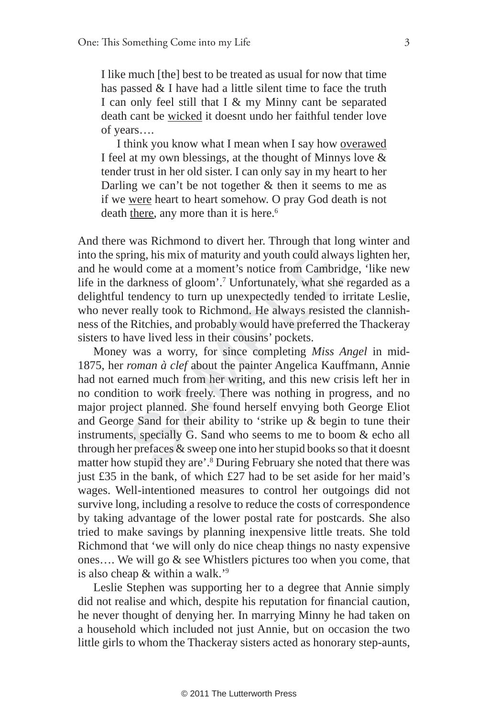I like much [the] best to be treated as usual for now that time has passed & I have had a little silent time to face the truth I can only feel still that I & my Minny cant be separated death cant be wicked it doesnt undo her faithful tender love of years….

I think you know what I mean when I say how overawed I feel at my own blessings, at the thought of Minnys love & tender trust in her old sister. I can only say in my heart to her Darling we can't be not together  $\&$  then it seems to me as if we were heart to heart somehow. O pray God death is not death there, any more than it is here.<sup>6</sup>

And there was Richmond to divert her. Through that long winter and into the spring, his mix of maturity and youth could always lighten her, and he would come at a moment's notice from Cambridge, 'like new life in the darkness of gloom'. 7 Unfortunately, what she regarded as a delightful tendency to turn up unexpectedly tended to irritate Leslie, who never really took to Richmond. He always resisted the clannishness of the Ritchies, and probably would have preferred the Thackeray sisters to have lived less in their cousins' pockets.

between the same of maturity and youth could alway and youth could alway and youth could come at a moment's notice from Cambrid darkness of gloom'.<sup>7</sup> Unfortunately, what she tendency to turn up unexpectedly tended to is Money was a worry, for since completing *Miss Angel* in mid-1875, her *roman à clef* about the painter Angelica Kauffmann, Annie had not earned much from her writing, and this new crisis left her in no condition to work freely. There was nothing in progress, and no major project planned. She found herself envying both George Eliot and George Sand for their ability to 'strike up & begin to tune their instruments, specially G. Sand who seems to me to boom & echo all through her prefaces & sweep one into her stupid books so that it doesnt matter how stupid they are'. 8 During February she noted that there was just £35 in the bank, of which £27 had to be set aside for her maid's wages. Well-intentioned measures to control her outgoings did not survive long, including a resolve to reduce the costs of correspondence by taking advantage of the lower postal rate for postcards. She also tried to make savings by planning inexpensive little treats. She told Richmond that 'we will only do nice cheap things no nasty expensive ones…. We will go & see Whistlers pictures too when you come, that is also cheap & within a walk.'<sup>9</sup>

Leslie Stephen was supporting her to a degree that Annie simply did not realise and which, despite his reputation for financial caution, he never thought of denying her. In marrying Minny he had taken on a household which included not just Annie, but on occasion the two little girls to whom the Thackeray sisters acted as honorary step-aunts,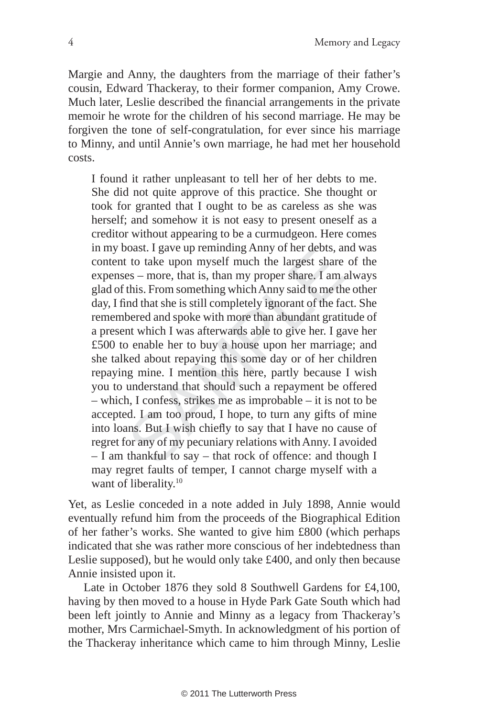Margie and Anny, the daughters from the marriage of their father's cousin, Edward Thackeray, to their former companion, Amy Crowe. Much later, Leslie described the financial arrangements in the private memoir he wrote for the children of his second marriage. He may be forgiven the tone of self-congratulation, for ever since his marriage to Minny, and until Annie's own marriage, he had met her household costs.

boast. I gave up remining Anny of her debts, a<br>t to take upon myself much the largest share<br>es – more, that is, than my proper share. I am<br>this. From something which Anny said to me th<br>ind that she is still completely igno I found it rather unpleasant to tell her of her debts to me. She did not quite approve of this practice. She thought or took for granted that I ought to be as careless as she was herself; and somehow it is not easy to present oneself as a creditor without appearing to be a curmudgeon. Here comes in my boast. I gave up reminding Anny of her debts, and was content to take upon myself much the largest share of the expenses – more, that is, than my proper share. I am always glad of this. From something which Anny said to me the other day, I find that she is still completely ignorant of the fact. She remembered and spoke with more than abundant gratitude of a present which I was afterwards able to give her. I gave her £500 to enable her to buy a house upon her marriage; and she talked about repaying this some day or of her children repaying mine. I mention this here, partly because I wish you to understand that should such a repayment be offered – which, I confess, strikes me as improbable – it is not to be accepted. I am too proud, I hope, to turn any gifts of mine into loans. But I wish chiefly to say that I have no cause of regret for any of my pecuniary relations with Anny. I avoided – I am thankful to say – that rock of offence: and though I may regret faults of temper, I cannot charge myself with a want of liberality.<sup>10</sup>

Yet, as Leslie conceded in a note added in July 1898, Annie would eventually refund him from the proceeds of the Biographical Edition of her father's works. She wanted to give him £800 (which perhaps indicated that she was rather more conscious of her indebtedness than Leslie supposed), but he would only take £400, and only then because Annie insisted upon it.

Late in October 1876 they sold 8 Southwell Gardens for £4,100, having by then moved to a house in Hyde Park Gate South which had been left jointly to Annie and Minny as a legacy from Thackeray's mother, Mrs Carmichael-Smyth. In acknowledgment of his portion of the Thackeray inheritance which came to him through Minny, Leslie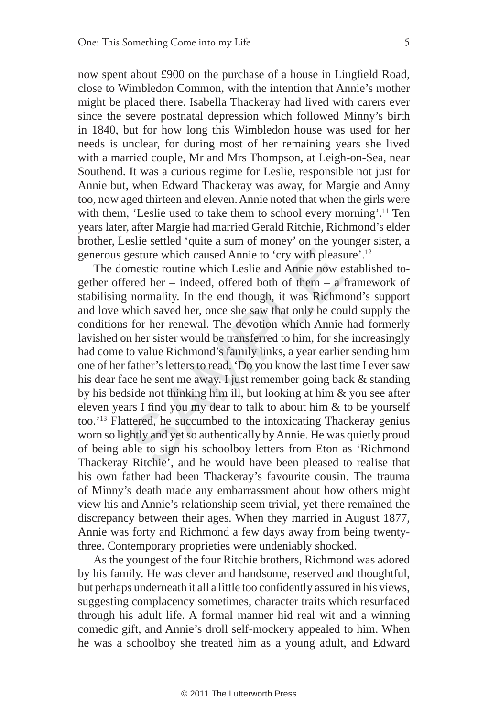now spent about £900 on the purchase of a house in Lingfield Road, close to Wimbledon Common, with the intention that Annie's mother might be placed there. Isabella Thackeray had lived with carers ever since the severe postnatal depression which followed Minny's birth in 1840, but for how long this Wimbledon house was used for her needs is unclear, for during most of her remaining years she lived with a married couple, Mr and Mrs Thompson, at Leigh-on-Sea, near Southend. It was a curious regime for Leslie, responsible not just for Annie but, when Edward Thackeray was away, for Margie and Anny too, now aged thirteen and eleven. Annie noted that when the girls were with them, 'Leslie used to take them to school every morning'.<sup>11</sup> Ten years later, after Margie had married Gerald Ritchie, Richmond's elder brother, Leslie settled 'quite a sum of money' on the younger sister, a generous gesture which caused Annie to 'cry with pleasure'.12

gesture which caused Annie to 'cry with please<br>omestic routine which Leslie and Annie now  $\epsilon$ <br>ered her – indeed, offered both of them – a<br>g normality. In the end though, it was Richm<br>which saved her, once she saw that on The domestic routine which Leslie and Annie now established together offered her – indeed, offered both of them – a framework of stabilising normality. In the end though, it was Richmond's support and love which saved her, once she saw that only he could supply the conditions for her renewal. The devotion which Annie had formerly lavished on her sister would be transferred to him, for she increasingly had come to value Richmond's family links, a year earlier sending him one of her father's letters to read. 'Do you know the last time I ever saw his dear face he sent me away. I just remember going back & standing by his bedside not thinking him ill, but looking at him & you see after eleven years I find you my dear to talk to about him  $&$  to be yourself too.'13 Flattered, he succumbed to the intoxicating Thackeray genius worn so lightly and yet so authentically by Annie. He was quietly proud of being able to sign his schoolboy letters from Eton as 'Richmond Thackeray Ritchie', and he would have been pleased to realise that his own father had been Thackeray's favourite cousin. The trauma of Minny's death made any embarrassment about how others might view his and Annie's relationship seem trivial, yet there remained the discrepancy between their ages. When they married in August 1877, Annie was forty and Richmond a few days away from being twentythree. Contemporary proprieties were undeniably shocked.

As the youngest of the four Ritchie brothers, Richmond was adored by his family. He was clever and handsome, reserved and thoughtful, but perhaps underneath it all a little too confidently assured in his views, suggesting complacency sometimes, character traits which resurfaced through his adult life. A formal manner hid real wit and a winning comedic gift, and Annie's droll self-mockery appealed to him. When he was a schoolboy she treated him as a young adult, and Edward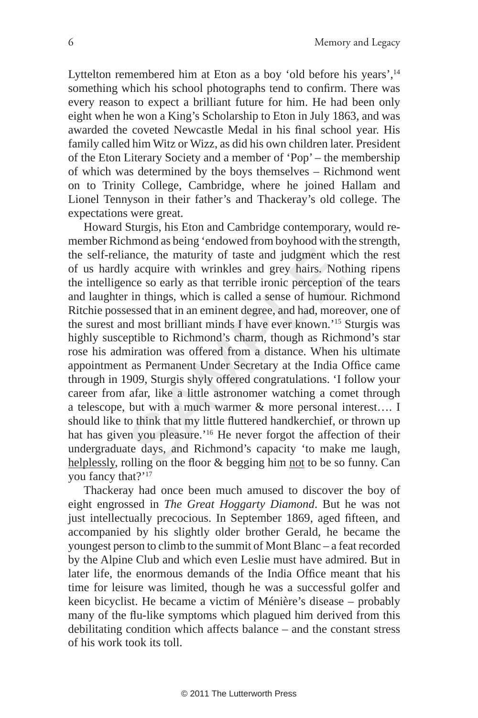Lyttelton remembered him at Eton as a boy 'old before his years',<sup>14</sup> something which his school photographs tend to confirm. There was every reason to expect a brilliant future for him. He had been only eight when he won a King's Scholarship to Eton in July 1863, and was awarded the coveted Newcastle Medal in his final school year. His family called him Witz or Wizz, as did his own children later. President of the Eton Literary Society and a member of 'Pop' – the membership of which was determined by the boys themselves – Richmond went on to Trinity College, Cambridge, where he joined Hallam and Lionel Tennyson in their father's and Thackeray's old college. The expectations were great.

ance, the maturity of taste and judgment wh<br>y acquire with wrinkles and grey hairs. Not<br>nce so early as that terrible ironic perception<br>r in things, which is called a sense of humour<br>sessed that in an eminent degree, and Howard Sturgis, his Eton and Cambridge contemporary, would remember Richmond as being 'endowed from boyhood with the strength, the self-reliance, the maturity of taste and judgment which the rest of us hardly acquire with wrinkles and grey hairs. Nothing ripens the intelligence so early as that terrible ironic perception of the tears and laughter in things, which is called a sense of humour. Richmond Ritchie possessed that in an eminent degree, and had, moreover, one of the surest and most brilliant minds I have ever known.'15 Sturgis was highly susceptible to Richmond's charm, though as Richmond's star rose his admiration was offered from a distance. When his ultimate appointment as Permanent Under Secretary at the India Office came through in 1909, Sturgis shyly offered congratulations. 'I follow your career from afar, like a little astronomer watching a comet through a telescope, but with a much warmer & more personal interest…. I should like to think that my little fluttered handkerchief, or thrown up hat has given you pleasure.'<sup>16</sup> He never forgot the affection of their undergraduate days, and Richmond's capacity 'to make me laugh, helplessly, rolling on the floor & begging him not to be so funny. Can you fancy that?'<sup>17</sup>

Thackeray had once been much amused to discover the boy of eight engrossed in *The Great Hoggarty Diamond*. But he was not just intellectually precocious. In September 1869, aged fifteen, and accompanied by his slightly older brother Gerald, he became the youngest person to climb to the summit of Mont Blanc – a feat recorded by the Alpine Club and which even Leslie must have admired. But in later life, the enormous demands of the India Office meant that his time for leisure was limited, though he was a successful golfer and keen bicyclist. He became a victim of Ménière's disease – probably many of the flu-like symptoms which plagued him derived from this debilitating condition which affects balance – and the constant stress of his work took its toll.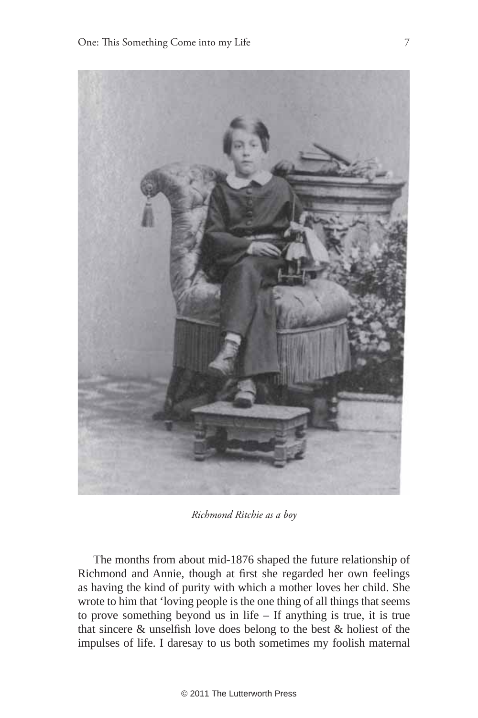

*Richmond Ritchie as a boy*

The months from about mid-1876 shaped the future relationship of Richmond and Annie, though at first she regarded her own feelings as having the kind of purity with which a mother loves her child. She wrote to him that 'loving people is the one thing of all things that seems to prove something beyond us in life – If anything is true, it is true that sincere  $&$  unselfish love does belong to the best  $&$  holiest of the impulses of life. I daresay to us both sometimes my foolish maternal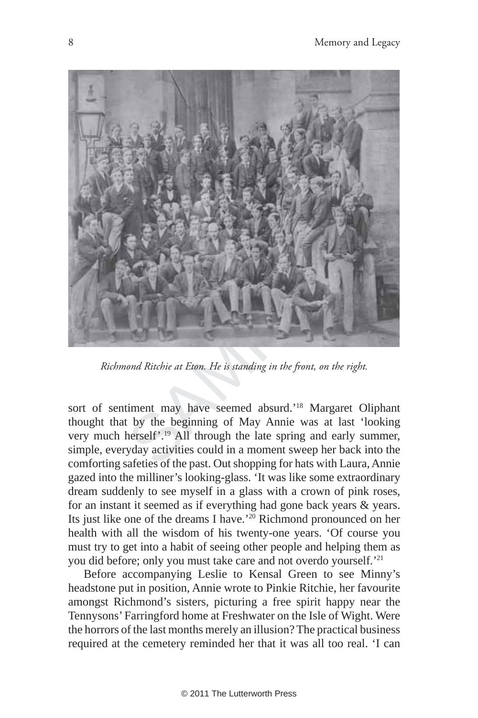

*Richmond Ritchie at Eton. He is standing in the front, on the right.*

sort of sentiment may have seemed absurd.'18 Margaret Oliphant thought that by the beginning of May Annie was at last 'looking very much herself'.19 All through the late spring and early summer, simple, everyday activities could in a moment sweep her back into the comforting safeties of the past. Out shopping for hats with Laura, Annie gazed into the milliner's looking-glass. 'It was like some extraordinary dream suddenly to see myself in a glass with a crown of pink roses, for an instant it seemed as if everything had gone back years & years. Its just like one of the dreams I have.'20 Richmond pronounced on her health with all the wisdom of his twenty-one years. 'Of course you must try to get into a habit of seeing other people and helping them as you did before; only you must take care and not overdo yourself.'21

Before accompanying Leslie to Kensal Green to see Minny's headstone put in position, Annie wrote to Pinkie Ritchie, her favourite amongst Richmond's sisters, picturing a free spirit happy near the Tennysons' Farringford home at Freshwater on the Isle of Wight. Were the horrors of the last months merely an illusion? The practical business required at the cemetery reminded her that it was all too real. 'I can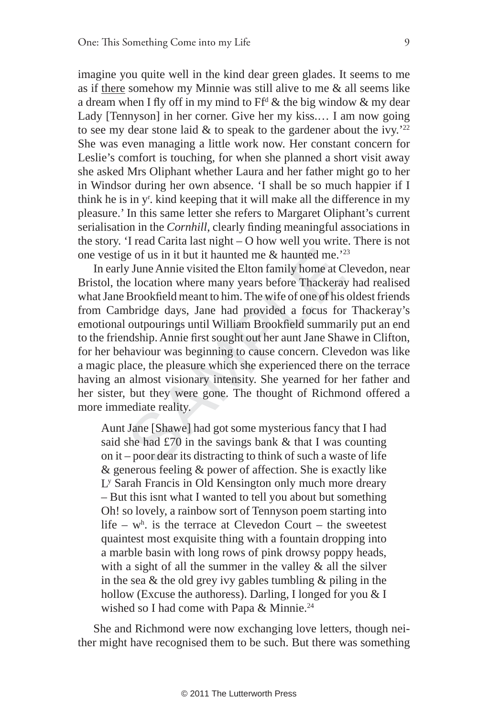imagine you quite well in the kind dear green glades. It seems to me as if there somehow my Minnie was still alive to me & all seems like a dream when I fly off in my mind to  $Ff^d$  & the big window & my dear Lady [Tennyson] in her corner. Give her my kiss.… I am now going to see my dear stone laid  $\&$  to speak to the gardener about the ivy.'<sup>22</sup> She was even managing a little work now. Her constant concern for Leslie's comfort is touching, for when she planned a short visit away she asked Mrs Oliphant whether Laura and her father might go to her in Windsor during her own absence. 'I shall be so much happier if I think he is in y<sup>r</sup>. kind keeping that it will make all the difference in my pleasure.' In this same letter she refers to Margaret Oliphant's current serialisation in the *Cornhill*, clearly finding meaningful associations in the story. 'I read Carita last night – O how well you write. There is not one vestige of us in it but it haunted me  $\&$  haunted me.<sup>223</sup>

be of us in it but it haunted me & haunted me."<br>
y June Annie visited the Elton family home at C<br>
e location where many years before Thackera<br>
Brookfield meant to him. The wife of one of his<br>
nbridge days, Jane had provid In early June Annie visited the Elton family home at Clevedon, near Bristol, the location where many years before Thackeray had realised what Jane Brookfield meant to him. The wife of one of his oldest friends from Cambridge days, Jane had provided a focus for Thackeray's emotional outpourings until William Brookfield summarily put an end to the friendship. Annie first sought out her aunt Jane Shawe in Clifton, for her behaviour was beginning to cause concern. Clevedon was like a magic place, the pleasure which she experienced there on the terrace having an almost visionary intensity. She yearned for her father and her sister, but they were gone. The thought of Richmond offered a more immediate reality.

Aunt Jane [Shawe] had got some mysterious fancy that I had said she had £70 in the savings bank & that I was counting on it – poor dear its distracting to think of such a waste of life & generous feeling & power of affection. She is exactly like Ly Sarah Francis in Old Kensington only much more dreary – But this isnt what I wanted to tell you about but something Oh! so lovely, a rainbow sort of Tennyson poem starting into life –  $w<sup>h</sup>$  is the terrace at Clevedon Court – the sweetest quaintest most exquisite thing with a fountain dropping into a marble basin with long rows of pink drowsy poppy heads, with a sight of all the summer in the valley & all the silver in the sea  $\&$  the old grey ivy gables tumbling  $\&$  piling in the hollow (Excuse the authoress). Darling, I longed for you & I wished so I had come with Papa & Minnie.<sup>24</sup>

She and Richmond were now exchanging love letters, though neither might have recognised them to be such. But there was something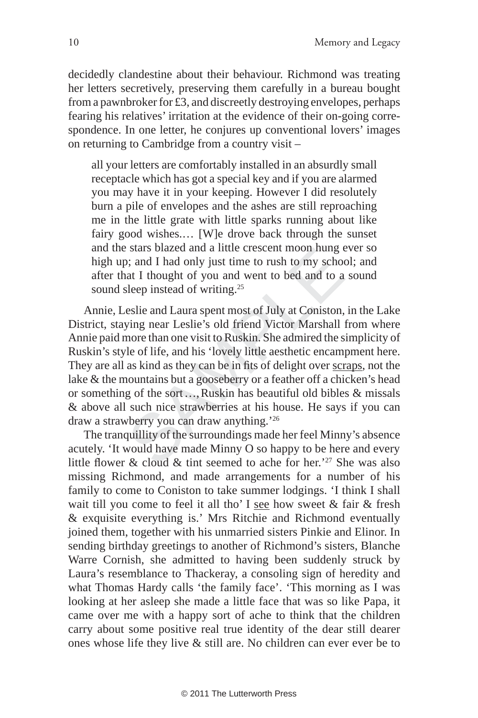decidedly clandestine about their behaviour. Richmond was treating her letters secretively, preserving them carefully in a bureau bought from a pawnbroker for £3, and discreetly destroying envelopes, perhaps fearing his relatives' irritation at the evidence of their on-going correspondence. In one letter, he conjures up conventional lovers' images on returning to Cambridge from a country visit –

all your letters are comfortably installed in an absurdly small receptacle which has got a special key and if you are alarmed you may have it in your keeping. However I did resolutely burn a pile of envelopes and the ashes are still reproaching me in the little grate with little sparks running about like fairy good wishes.… [W]e drove back through the sunset and the stars blazed and a little crescent moon hung ever so high up; and I had only just time to rush to my school; and after that I thought of you and went to bed and to a sound sound sleep instead of writing.<sup>25</sup>

be stars biazed and a little crescent moon nung of stars biazed and a little crescent moon nung of stars of I thought of you and went to bed and to a sleep instead of writing.<sup>25</sup> eslie and Laura spent most of July at Con Annie, Leslie and Laura spent most of July at Coniston, in the Lake District, staying near Leslie's old friend Victor Marshall from where Annie paid more than one visit to Ruskin. She admired the simplicity of Ruskin's style of life, and his 'lovely little aesthetic encampment here. They are all as kind as they can be in fits of delight over scraps, not the lake & the mountains but a gooseberry or a feather off a chicken's head or something of the sort …, Ruskin has beautiful old bibles & missals & above all such nice strawberries at his house. He says if you can draw a strawberry you can draw anything.'26

The tranquillity of the surroundings made her feel Minny's absence acutely. 'It would have made Minny O so happy to be here and every little flower & cloud & tint seemed to ache for her.<sup>'27</sup> She was also missing Richmond, and made arrangements for a number of his family to come to Coniston to take summer lodgings. 'I think I shall wait till you come to feel it all tho' I see how sweet & fair & fresh & exquisite everything is.' Mrs Ritchie and Richmond eventually joined them, together with his unmarried sisters Pinkie and Elinor. In sending birthday greetings to another of Richmond's sisters, Blanche Warre Cornish, she admitted to having been suddenly struck by Laura's resemblance to Thackeray, a consoling sign of heredity and what Thomas Hardy calls 'the family face'. 'This morning as I was looking at her asleep she made a little face that was so like Papa, it came over me with a happy sort of ache to think that the children carry about some positive real true identity of the dear still dearer ones whose life they live & still are. No children can ever ever be to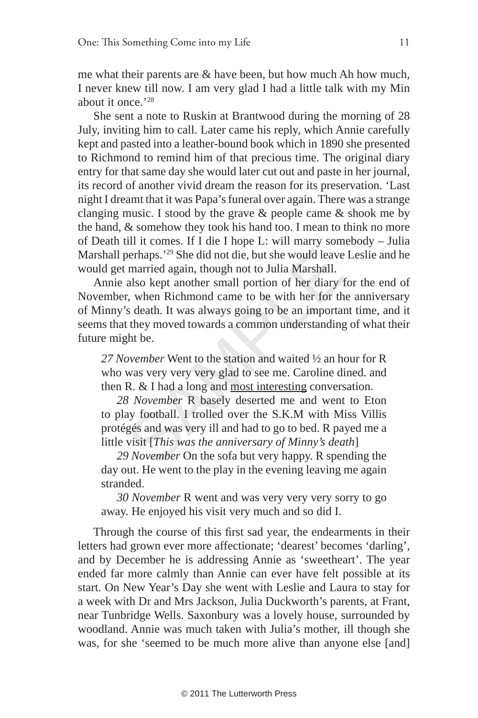me what their parents are & have been, but how much Ah how much, I never knew till now. I am very glad I had a little talk with my Min about it once.<sup>'28</sup>

She sent a note to Ruskin at Brantwood during the morning of 28 July, inviting him to call. Later came his reply, which Annie carefully kept and pasted into a leather-bound book which in 1890 she presented to Richmond to remind him of that precious time. The original diary entry for that same day she would later cut out and paste in her journal, its record of another vivid dream the reason for its preservation. 'Last night I dreamt that it was Papa's funeral over again. There was a strange clanging music. I stood by the grave & people came & shook me by the hand, & somehow they took his hand too. I mean to think no more of Death till it comes. If I die I hope L: will marry somebody – Julia Marshall perhaps.'29 She did not die, but she would leave Leslie and he would get married again, though not to Julia Marshall.

perhaps.'<sup>29</sup> She did not die, but she would leave<br>
i married again, though not to Julia Marshall.<br>
also kept another small portion of her diary<br>
i, when Richmond came to be with her for th<br>
is death. It was always going t Annie also kept another small portion of her diary for the end of November, when Richmond came to be with her for the anniversary of Minny's death. It was always going to be an important time, and it seems that they moved towards a common understanding of what their future might be.

*27 November* Went to the station and waited ½ an hour for R who was very very very glad to see me. Caroline dined. and then R. & I had a long and most interesting conversation.

*28 November* R basely deserted me and went to Eton to play football. I trolled over the S.K.M with Miss Villis protégés and was very ill and had to go to bed. R payed me a little visit [*This was the anniversary of Minny's death* ]

*29 November* On the sofa but very happy. R spending the day out. He went to the play in the evening leaving me again stranded.

*30 November* R went and was very very very sorry to go away. He enjoyed his visit very much and so did I.

Through the course of this first sad year, the endearments in their letters had grown ever more affectionate; 'dearest' becomes 'darling', and by December he is addressing Annie as 'sweetheart'. The year ended far more calmly than Annie can ever have felt possible at its start. On New Year's Day she went with Leslie and Laura to stay for a week with Dr and Mrs Jackson, Julia Duckworth's parents, at Frant, near Tunbridge Wells. Saxonbury was a lovely house, surrounded by woodland. Annie was much taken with Julia's mother, ill though she was, for she 'seemed to be much more alive than anyone else [and]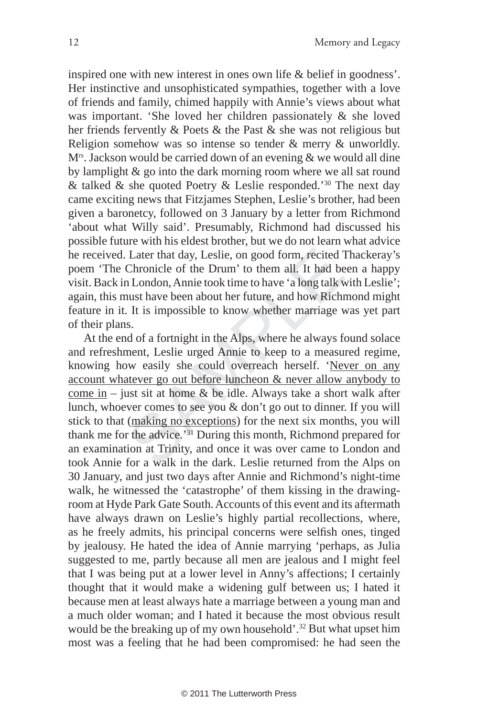inspired one with new interest in ones own life & belief in goodness'. Her instinctive and unsophisticated sympathies, together with a love of friends and family, chimed happily with Annie's views about what was important. 'She loved her children passionately & she loved her friends fervently & Poets & the Past & she was not religious but Religion somehow was so intense so tender  $\&$  merry  $\&$  unworldly. M<sup>rs</sup>. Jackson would be carried down of an evening  $\&$  we would all dine by lamplight & go into the dark morning room where we all sat round  $\&$  talked  $\&$  she quoted Poetry  $\&$  Leslie responded.<sup>'30</sup> The next day came exciting news that Fitzjames Stephen, Leslie's brother, had been given a baronetcy, followed on 3 January by a letter from Richmond 'about what Willy said'. Presumably, Richmond had discussed his possible future with his eldest brother, but we do not learn what advice he received. Later that day, Leslie, on good form, recited Thackeray's poem 'The Chronicle of the Drum' to them all. It had been a happy visit. Back in London, Annie took time to have 'a long talk with Leslie'; again, this must have been about her future, and how Richmond might feature in it. It is impossible to know whether marriage was yet part of their plans.

Later that day, Leslie, on good form, recited Chronicle of the Drum' to them all. It had be n London, Annie took time to have 'a long talk v nust have been about her future, and how Riching. It is impossible to know wheth At the end of a fortnight in the Alps, where he always found solace and refreshment, Leslie urged Annie to keep to a measured regime, knowing how easily she could overreach herself. 'Never on any account whatever go out before luncheon & never allow anybody to come in – just sit at home & be idle. Always take a short walk after lunch, whoever comes to see you & don't go out to dinner. If you will stick to that (making no exceptions) for the next six months, you will thank me for the advice.'31 During this month, Richmond prepared for an examination at Trinity, and once it was over came to London and took Annie for a walk in the dark. Leslie returned from the Alps on 30 January, and just two days after Annie and Richmond's night-time walk, he witnessed the 'catastrophe' of them kissing in the drawingroom at Hyde Park Gate South. Accounts of this event and its aftermath have always drawn on Leslie's highly partial recollections, where, as he freely admits, his principal concerns were selfish ones, tinged by jealousy. He hated the idea of Annie marrying 'perhaps, as Julia suggested to me, partly because all men are jealous and I might feel that I was being put at a lower level in Anny's affections; I certainly thought that it would make a widening gulf between us; I hated it because men at least always hate a marriage between a young man and a much older woman; and I hated it because the most obvious result would be the breaking up of my own household'.<sup>32</sup> But what upset him most was a feeling that he had been compromised: he had seen the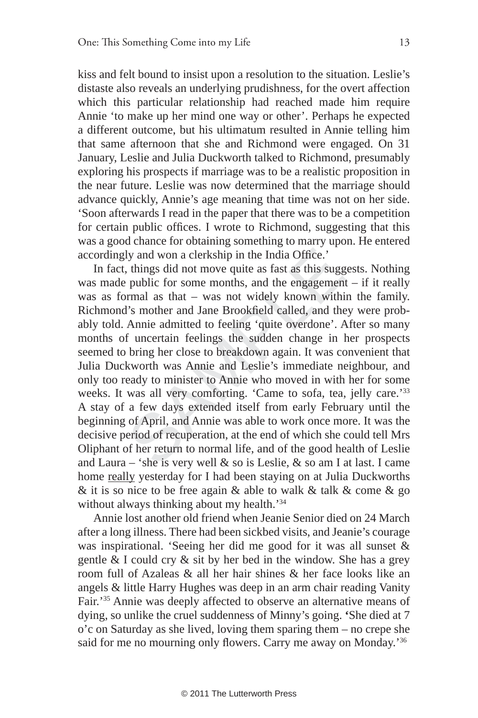kiss and felt bound to insist upon a resolution to the situation. Leslie's distaste also reveals an underlying prudishness, for the overt affection which this particular relationship had reached made him require Annie 'to make up her mind one way or other'. Perhaps he expected a different outcome, but his ultimatum resulted in Annie telling him that same afternoon that she and Richmond were engaged. On 31 January, Leslie and Julia Duckworth talked to Richmond, presumably exploring his prospects if marriage was to be a realistic proposition in the near future. Leslie was now determined that the marriage should advance quickly, Annie's age meaning that time was not on her side. 'Soon afterwards I read in the paper that there was to be a competition for certain public offices. I wrote to Richmond, suggesting that this was a good chance for obtaining something to marry upon. He entered accordingly and won a clerkship in the India Office.'

ly and won a clerkship in the India Office.'<br>
, things did not move quite as fast as this sugge<br>
: public for some months, and the engagemen<br>
ormal as that – was not widely known with<br>
i's mother and Jane Brookfield calle In fact, things did not move quite as fast as this suggests. Nothing was made public for some months, and the engagement – if it really was as formal as that – was not widely known within the family. Richmond's mother and Jane Brookfield called, and they were probably told. Annie admitted to feeling 'quite overdone'. After so many months of uncertain feelings the sudden change in her prospects seemed to bring her close to breakdown again. It was convenient that Julia Duckworth was Annie and Leslie's immediate neighbour, and only too ready to minister to Annie who moved in with her for some weeks. It was all very comforting. 'Came to sofa, tea, jelly care.'33 A stay of a few days extended itself from early February until the beginning of April, and Annie was able to work once more. It was the decisive period of recuperation, at the end of which she could tell Mrs Oliphant of her return to normal life, and of the good health of Leslie and Laura – 'she is very well  $\&$  so is Leslie,  $\&$  so am I at last. I came home really yesterday for I had been staying on at Julia Duckworths & it is so nice to be free again & able to walk & talk & come  $\&$  go without always thinking about my health.<sup>34</sup>

Annie lost another old friend when Jeanie Senior died on 24 March after a long illness. There had been sickbed visits, and Jeanie's courage was inspirational. 'Seeing her did me good for it was all sunset & gentle  $&$  I could cry  $&$  sit by her bed in the window. She has a grey room full of Azaleas & all her hair shines & her face looks like an angels & little Harry Hughes was deep in an arm chair reading Vanity Fair.'35 Annie was deeply affected to observe an alternative means of dying, so unlike the cruel suddenness of Minny's going. **'**She died at 7 o'c on Saturday as she lived, loving them sparing them – no crepe she said for me no mourning only flowers. Carry me away on Monday.'<sup>36</sup>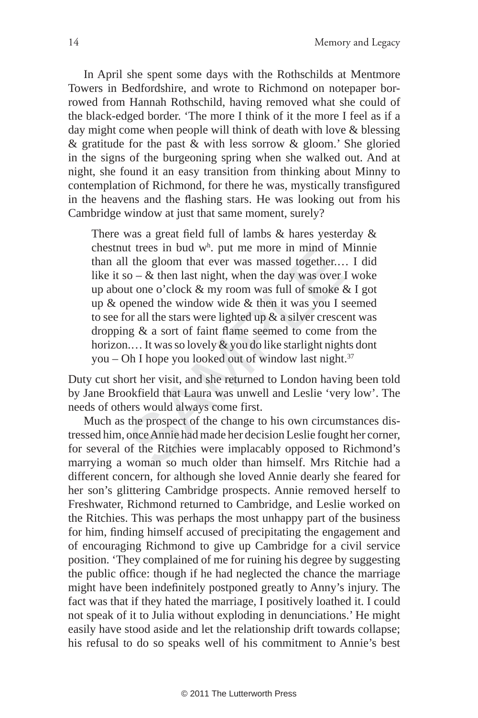In April she spent some days with the Rothschilds at Mentmore Towers in Bedfordshire, and wrote to Richmond on notepaper borrowed from Hannah Rothschild, having removed what she could of the black-edged border. 'The more I think of it the more I feel as if a day might come when people will think of death with love & blessing  $\&$  gratitude for the past  $\&$  with less sorrow  $\&$  gloom.' She gloried in the signs of the burgeoning spring when she walked out. And at night, she found it an easy transition from thinking about Minny to contemplation of Richmond, for there he was, mystically transfigured in the heavens and the flashing stars. He was looking out from his Cambridge window at just that same moment, surely?

It trees in bud w". put me informed in fining of 1<br>1 the gloom that ever was massed together...<br>so – & then last night, when the day was over<br>ut one o'clock & my room was full of smoke<br>oppened the window wide & then it wa There was a great field full of lambs  $\&$  hares yesterday  $\&$ chestnut trees in bud w h . put me more in mind of Minnie than all the gloom that ever was massed together.… I did like it so –  $\&$  then last night, when the day was over I woke up about one o'clock & my room was full of smoke & I got up & opened the window wide & then it was you I seemed to see for all the stars were lighted up  $\&$  a silver crescent was dropping  $\&$  a sort of faint flame seemed to come from the horizon.... It was so lovely & you do like starlight nights dont you – Oh I hope you looked out of window last night. $37$ 

Duty cut short her visit, and she returned to London having been told by Jane Brookfield that Laura was unwell and Leslie 'very low'. The needs of others would always come first.

Much as the prospect of the change to his own circumstances distressed him, once Annie had made her decision Leslie fought her corner, for several of the Ritchies were implacably opposed to Richmond's marrying a woman so much older than himself. Mrs Ritchie had a different concern, for although she loved Annie dearly she feared for her son's glittering Cambridge prospects. Annie removed herself to Freshwater, Richmond returned to Cambridge, and Leslie worked on the Ritchies. This was perhaps the most unhappy part of the business for him, finding himself accused of precipitating the engagement and of encouraging Richmond to give up Cambridge for a civil service position. 'They complained of me for ruining his degree by suggesting the public office: though if he had neglected the chance the marriage might have been indefinitely postponed greatly to Anny's injury. The fact was that if they hated the marriage, I positively loathed it. I could not speak of it to Julia without exploding in denunciations.' He might easily have stood aside and let the relationship drift towards collapse; his refusal to do so speaks well of his commitment to Annie's best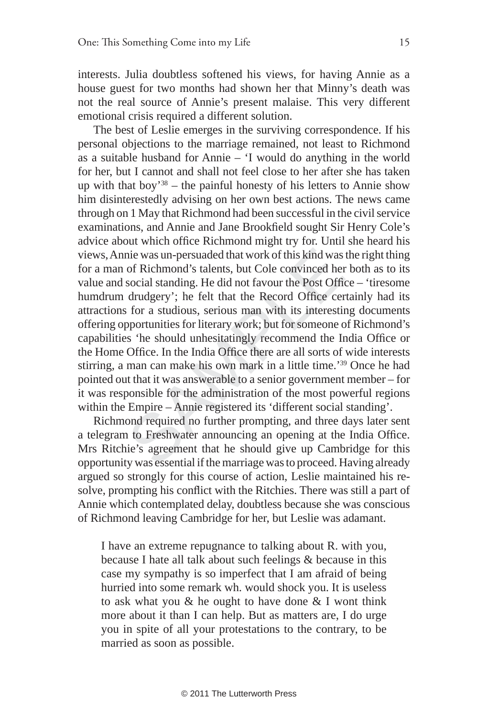interests. Julia doubtless softened his views, for having Annie as a house guest for two months had shown her that Minny's death was not the real source of Annie's present malaise. This very different emotional crisis required a different solution.

nie was un-persuaded that work of this kind was<br>of Richmond's talents, but Cole convinced her<br>social standing. He did not favour the Post Offi<br>drudgery'; he felt that the Record Office cer<br>s for a studious, serious man wit The best of Leslie emerges in the surviving correspondence. If his personal objections to the marriage remained, not least to Richmond as a suitable husband for Annie – 'I would do anything in the world for her, but I cannot and shall not feel close to her after she has taken up with that boy<sup>38</sup> – the painful honesty of his letters to Annie show him disinterestedly advising on her own best actions. The news came through on 1 May that Richmond had been successful in the civil service examinations, and Annie and Jane Brookfield sought Sir Henry Cole's advice about which office Richmond might try for. Until she heard his views, Annie was un-persuaded that work of this kind was the right thing for a man of Richmond's talents, but Cole convinced her both as to its value and social standing. He did not favour the Post Office  $-$  'tiresome humdrum drudgery'; he felt that the Record Office certainly had its attractions for a studious, serious man with its interesting documents offering opportunities for literary work; but for someone of Richmond's capabilities 'he should unhesitatingly recommend the India Office or the Home Office. In the India Office there are all sorts of wide interests stirring, a man can make his own mark in a little time.'39 Once he had pointed out that it was answerable to a senior government member – for it was responsible for the administration of the most powerful regions within the Empire – Annie registered its 'different social standing'.

Richmond required no further prompting, and three days later sent a telegram to Freshwater announcing an opening at the India Office. Mrs Ritchie's agreement that he should give up Cambridge for this opportunity was essential if the marriage was to proceed. Having already argued so strongly for this course of action, Leslie maintained his resolve, prompting his conflict with the Ritchies. There was still a part of Annie which contemplated delay, doubtless because she was conscious of Richmond leaving Cambridge for her, but Leslie was adamant.

I have an extreme repugnance to talking about R. with you, because I hate all talk about such feelings & because in this case my sympathy is so imperfect that I am afraid of being hurried into some remark wh. would shock you. It is useless to ask what you & he ought to have done & I wont think more about it than I can help. But as matters are, I do urge you in spite of all your protestations to the contrary, to be married as soon as possible.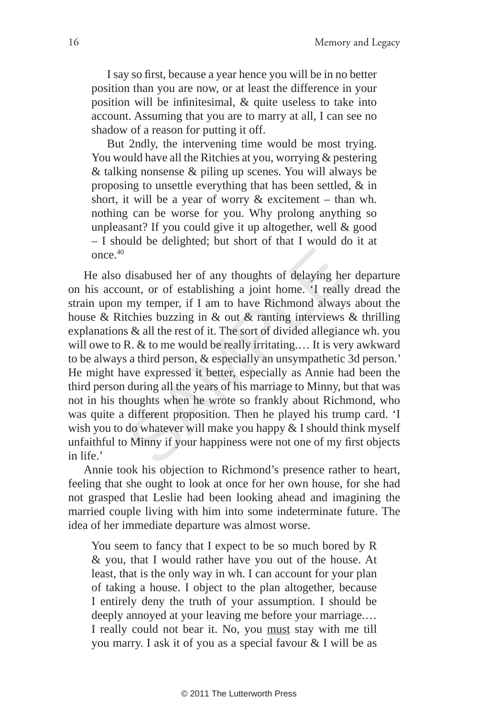I say so first, because a year hence you will be in no better position than you are now, or at least the difference in your position will be infinitesimal,  $\&$  quite useless to take into account. Assuming that you are to marry at all, I can see no shadow of a reason for putting it off.

But 2ndly, the intervening time would be most trying. You would have all the Ritchies at you, worrying & pestering & talking nonsense & piling up scenes. You will always be proposing to unsettle everything that has been settled, & in short, it will be a year of worry & excitement – than wh. nothing can be worse for you. Why prolong anything so unpleasant? If you could give it up altogether, well & good – I should be delighted; but short of that I would do it at once.  $40$ 

disabused her of any thoughts of delaying he<br>unt, or of establishing a joint home. 'I reall<br>my temper, if I am to have Richmond alway<br>tchies buzzing in & out & ranting interviews<br>s & all the rest of it. The sort of divide He also disabused her of any thoughts of delaying her departure on his account, or of establishing a joint home. 'I really dread the strain upon my temper, if I am to have Richmond always about the house & Ritchies buzzing in & out & ranting interviews & thrilling explanations & all the rest of it. The sort of divided allegiance wh. you will owe to R. & to me would be really irritating.... It is very awkward to be always a third person, & especially an unsympathetic 3d person.' He might have expressed it better, especially as Annie had been the third person during all the years of his marriage to Minny, but that was not in his thoughts when he wrote so frankly about Richmond, who was quite a different proposition. Then he played his trump card. 'I wish you to do whatever will make you happy & I should think myself unfaithful to Minny if your happiness were not one of my first objects in life.'

Annie took his objection to Richmond's presence rather to heart, feeling that she ought to look at once for her own house, for she had not grasped that Leslie had been looking ahead and imagining the married couple living with him into some indeterminate future. The idea of her immediate departure was almost worse.

You seem to fancy that I expect to be so much bored by R & you, that I would rather have you out of the house. At least, that is the only way in wh. I can account for your plan of taking a house. I object to the plan altogether, because I entirely deny the truth of your assumption. I should be deeply annoyed at your leaving me before your marriage.… I really could not bear it. No, you must stay with me till you marry. I ask it of you as a special favour & I will be as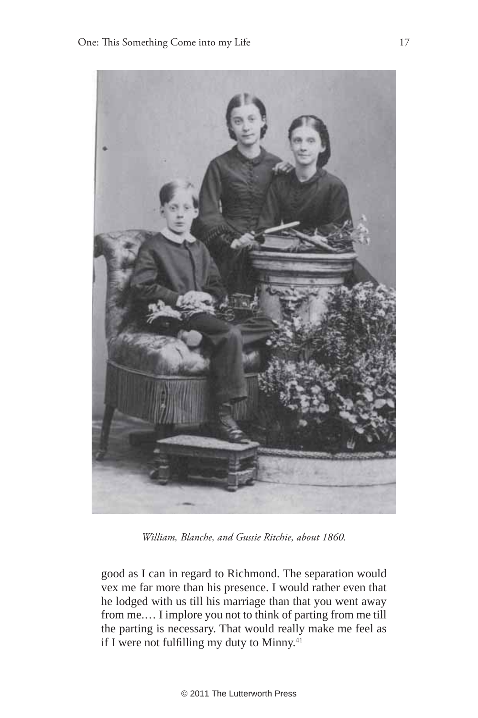

*William, Blanche, and Gussie Ritchie, about 1860.*

good as I can in regard to Richmond. The separation would vex me far more than his presence. I would rather even that he lodged with us till his marriage than that you went away from me.… I implore you not to think of parting from me till the parting is necessary. That would really make me feel as if I were not fulfilling my duty to Minny.<sup>41</sup>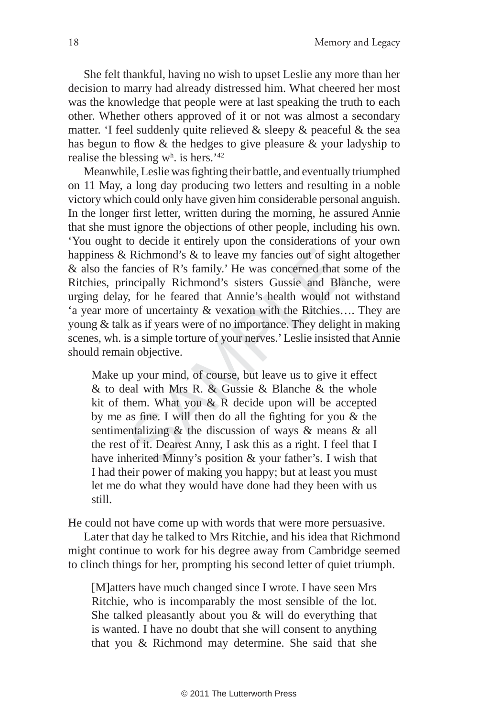She felt thankful, having no wish to upset Leslie any more than her decision to marry had already distressed him. What cheered her most was the knowledge that people were at last speaking the truth to each other. Whether others approved of it or not was almost a secondary matter. 'I feel suddenly quite relieved & sleepy & peaceful & the sea has begun to flow  $\&$  the hedges to give pleasure  $\&$  your ladyship to realise the blessing  $w<sup>h</sup>$  is hers.<sup>'42</sup>

Example 1: Richmond's & to leave my fancies out of sight<br>fancies of R's family.' He was concerned that<br>incipally Richmond's sisters Gussie and Bla<br>y, for he feared that Annie's health would no<br>e of uncertainty & vexation Meanwhile, Leslie was fighting their battle, and eventually triumphed on 11 May, a long day producing two letters and resulting in a noble victory which could only have given him considerable personal anguish. In the longer first letter, written during the morning, he assured Annie that she must ignore the objections of other people, including his own. 'You ought to decide it entirely upon the considerations of your own happiness & Richmond's & to leave my fancies out of sight altogether & also the fancies of R's family.' He was concerned that some of the Ritchies, principally Richmond's sisters Gussie and Blanche, were urging delay, for he feared that Annie's health would not withstand 'a year more of uncertainty & vexation with the Ritchies…. They are young & talk as if years were of no importance. They delight in making scenes, wh. is a simple torture of your nerves.' Leslie insisted that Annie should remain objective.

Make up your mind, of course, but leave us to give it effect & to deal with Mrs R. & Gussie & Blanche & the whole kit of them. What you & R decide upon will be accepted by me as fine. I will then do all the fighting for you & the sentimentalizing & the discussion of ways & means & all the rest of it. Dearest Anny, I ask this as a right. I feel that I have inherited Minny's position & your father's. I wish that I had their power of making you happy; but at least you must let me do what they would have done had they been with us still.

He could not have come up with words that were more persuasive.

Later that day he talked to Mrs Ritchie, and his idea that Richmond might continue to work for his degree away from Cambridge seemed to clinch things for her, prompting his second letter of quiet triumph.

[M]atters have much changed since I wrote. I have seen Mrs Ritchie, who is incomparably the most sensible of the lot. She talked pleasantly about you & will do everything that is wanted. I have no doubt that she will consent to anything that you & Richmond may determine. She said that she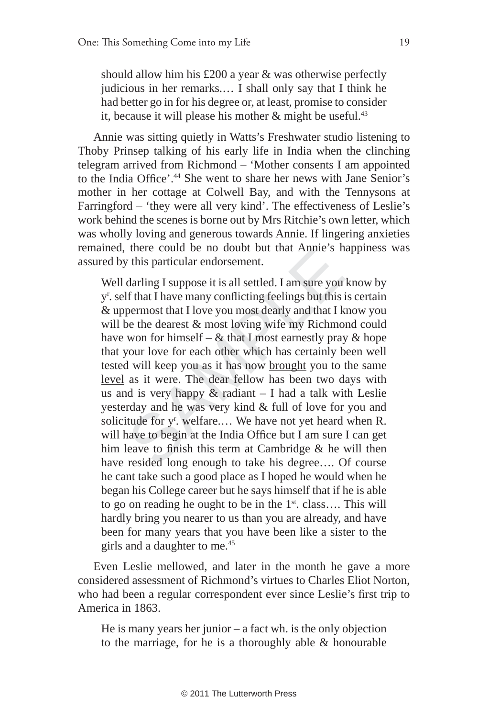should allow him his £200 a year & was otherwise perfectly judicious in her remarks.… I shall only say that I think he had better go in for his degree or, at least, promise to consider it, because it will please his mother  $\&$  might be useful.<sup>43</sup>

Annie was sitting quietly in Watts's Freshwater studio listening to Thoby Prinsep talking of his early life in India when the clinching telegram arrived from Richmond – 'Mother consents I am appointed to the India Office'.<sup>44</sup> She went to share her news with Jane Senior's mother in her cottage at Colwell Bay, and with the Tennysons at Farringford – 'they were all very kind'. The effectiveness of Leslie's work behind the scenes is borne out by Mrs Ritchie's own letter, which was wholly loving and generous towards Annie. If lingering anxieties remained, there could be no doubt but that Annie's happiness was assured by this particular endorsement.

If there could be no doubt but that Almie's not<br>darling I suppose it is all settled. I am sure you<br>If that I have many conflicting feelings but this<br>permost that I love you most dearly and that I k<br>be the dearest & most l Well darling I suppose it is all settled. I am sure you know by y<sup>r</sup>. self that I have many conflicting feelings but this is certain & uppermost that I love you most dearly and that I know you will be the dearest  $\&$  most loving wife my Richmond could have won for himself –  $&$  that I most earnestly pray  $&$  hope that your love for each other which has certainly been well tested will keep you as it has now brought you to the same level as it were. The dear fellow has been two days with us and is very happy  $\&$  radiant  $-$  I had a talk with Leslie yesterday and he was very kind & full of love for you and solicitude for y<sup>r</sup>. welfare.... We have not yet heard when R. will have to begin at the India Office but I am sure I can get him leave to finish this term at Cambridge  $\&$  he will then have resided long enough to take his degree.... Of course he cant take such a good place as I hoped he would when he began his College career but he says himself that if he is able to go on reading he ought to be in the  $1<sup>st</sup>$ . class.... This will hardly bring you nearer to us than you are already, and have been for many years that you have been like a sister to the girls and a daughter to me.<sup>45</sup>

Even Leslie mellowed, and later in the month he gave a more considered assessment of Richmond's virtues to Charles Eliot Norton, who had been a regular correspondent ever since Leslie's first trip to America in 1863.

He is many years her junior – a fact wh. is the only objection to the marriage, for he is a thoroughly able & honourable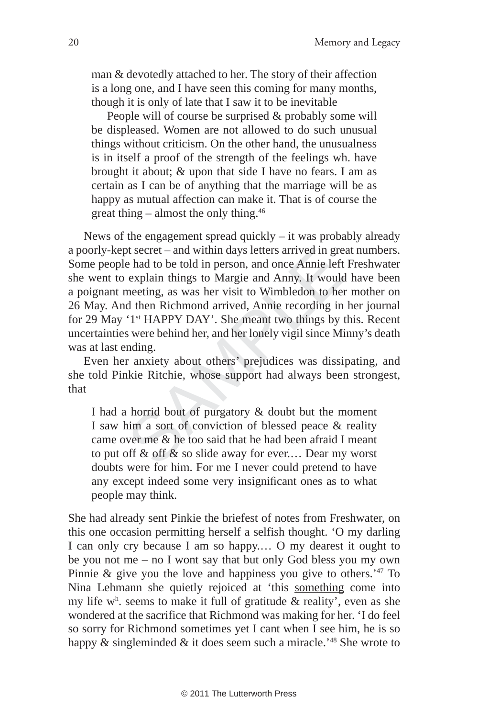man & devotedly attached to her. The story of their affection is a long one, and I have seen this coming for many months, though it is only of late that I saw it to be inevitable

People will of course be surprised & probably some will be displeased. Women are not allowed to do such unusual things without criticism. On the other hand, the unusualness is in itself a proof of the strength of the feelings wh. have brought it about; & upon that side I have no fears. I am as certain as I can be of anything that the marriage will be as happy as mutual affection can make it. That is of course the great thing – almost the only thing. $46$ 

positive and within days letters arrived in gree had to be told in person, and once Annie left<br>explain things to Margie and Anny. It would<br>meeting, as was her visit to Wimbledon to he<br>d then Richmond arrived, Annie record News of the engagement spread quickly  $-$  it was probably already a poorly-kept secret – and within days letters arrived in great numbers. Some people had to be told in person, and once Annie left Freshwater she went to explain things to Margie and Anny. It would have been a poignant meeting, as was her visit to Wimbledon to her mother on 26 May. And then Richmond arrived, Annie recording in her journal for 29 May '1st HAPPY DAY'. She meant two things by this. Recent uncertainties were behind her, and her lonely vigil since Minny's death was at last ending.

Even her anxiety about others' prejudices was dissipating, and she told Pinkie Ritchie, whose support had always been strongest, that

I had a horrid bout of purgatory & doubt but the moment I saw him a sort of conviction of blessed peace & reality came over me & he too said that he had been afraid I meant to put off  $\&$  off  $\&$  so slide away for ever.... Dear my worst doubts were for him. For me I never could pretend to have any except indeed some very insignificant ones as to what people may think.

She had already sent Pinkie the briefest of notes from Freshwater, on this one occasion permitting herself a selfish thought. 'O my darling I can only cry because I am so happy.… O my dearest it ought to be you not me – no I wont say that but only God bless you my own Pinnie & give you the love and happiness you give to others.'47 To Nina Lehmann she quietly rejoiced at 'this something come into my life  $w<sup>h</sup>$ , seems to make it full of gratitude & reality', even as she wondered at the sacrifice that Richmond was making for her. 'I do feel so sorry for Richmond sometimes yet I cant when I see him, he is so happy  $\&$  singleminded  $\&$  it does seem such a miracle.<sup>48</sup> She wrote to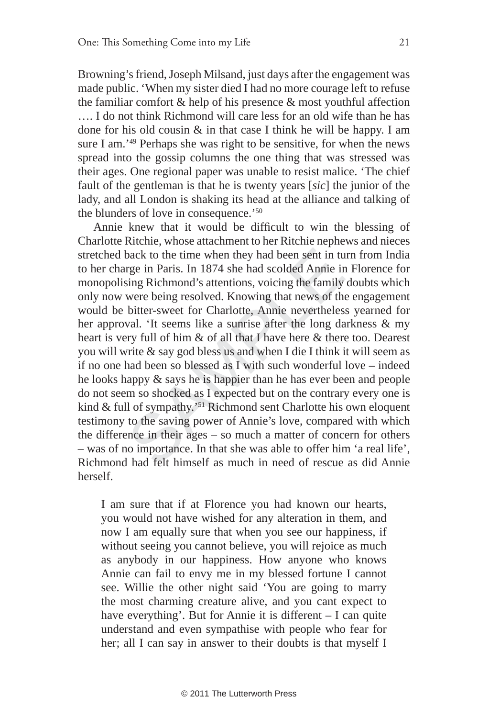Browning's friend, Joseph Milsand, just days after the engagement was made public. 'When my sister died I had no more courage left to refuse the familiar comfort & help of his presence & most youthful affection …. I do not think Richmond will care less for an old wife than he has done for his old cousin  $\&$  in that case I think he will be happy. I am sure I am.<sup>'49</sup> Perhaps she was right to be sensitive, for when the news spread into the gossip columns the one thing that was stressed was their ages. One regional paper was unable to resist malice. 'The chief fault of the gentleman is that he is twenty years [*sic*] the junior of the lady, and all London is shaking its head at the alliance and talking of the blunders of love in consequence.'50

back to the time when they had been sent in turge in Paris. In 1874 she had scolded Annie in sing Richmond's attentions, voicing the family were being resolved. Knowing that news of th bitter-sweet for Charlotte, Annie ne Annie knew that it would be difficult to win the blessing of Charlotte Ritchie, whose attachment to her Ritchie nephews and nieces stretched back to the time when they had been sent in turn from India to her charge in Paris. In 1874 she had scolded Annie in Florence for monopolising Richmond's attentions, voicing the family doubts which only now were being resolved. Knowing that news of the engagement would be bitter-sweet for Charlotte, Annie nevertheless yearned for her approval. 'It seems like a sunrise after the long darkness & my heart is very full of him & of all that I have here & there too. Dearest you will write & say god bless us and when I die I think it will seem as if no one had been so blessed as I with such wonderful love – indeed he looks happy & says he is happier than he has ever been and people do not seem so shocked as I expected but on the contrary every one is kind & full of sympathy.'51 Richmond sent Charlotte his own eloquent testimony to the saving power of Annie's love, compared with which the difference in their ages – so much a matter of concern for others – was of no importance. In that she was able to offer him 'a real life', Richmond had felt himself as much in need of rescue as did Annie herself.

I am sure that if at Florence you had known our hearts, you would not have wished for any alteration in them, and now I am equally sure that when you see our happiness, if without seeing you cannot believe, you will rejoice as much as anybody in our happiness. How anyone who knows Annie can fail to envy me in my blessed fortune I cannot see. Willie the other night said 'You are going to marry the most charming creature alive, and you cant expect to have everything'. But for Annie it is different – I can quite understand and even sympathise with people who fear for her; all I can say in answer to their doubts is that myself I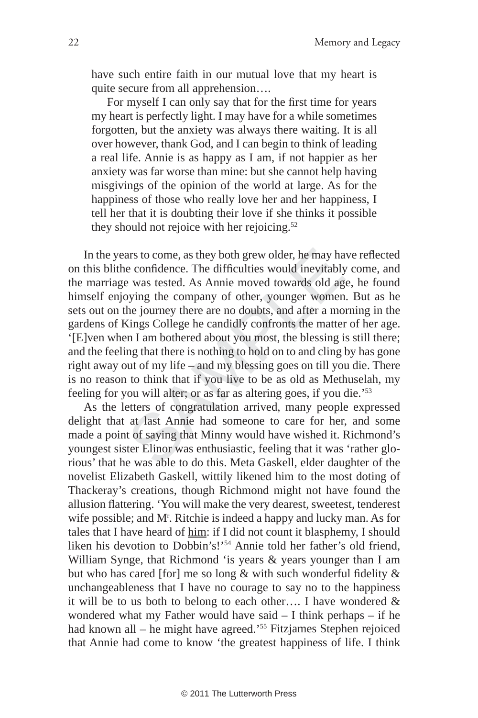have such entire faith in our mutual love that my heart is quite secure from all apprehension….

For myself I can only say that for the first time for years my heart is perfectly light. I may have for a while sometimes forgotten, but the anxiety was always there waiting. It is all over however, thank God, and I can begin to think of leading a real life. Annie is as happy as I am, if not happier as her anxiety was far worse than mine: but she cannot help having misgivings of the opinion of the world at large. As for the happiness of those who really love her and her happiness, I tell her that it is doubting their love if she thinks it possible they should not rejoice with her rejoicing.<sup>52</sup>

ars to come, as they both grew older, he may have confidence. The difficulties would inevitably e was tested. As Annie moved towards old agoying the company of other, younger women the journey there are no doubts, and afte In the years to come, as they both grew older, he may have reflected on this blithe confidence. The difficulties would inevitably come, and the marriage was tested. As Annie moved towards old age, he found himself enjoying the company of other, younger women. But as he sets out on the journey there are no doubts, and after a morning in the gardens of Kings College he candidly confronts the matter of her age. '[E]ven when I am bothered about you most, the blessing is still there; and the feeling that there is nothing to hold on to and cling by has gone right away out of my life – and my blessing goes on till you die. There is no reason to think that if you live to be as old as Methuselah, my feeling for you will alter; or as far as altering goes, if you die.'53

As the letters of congratulation arrived, many people expressed delight that at last Annie had someone to care for her, and some made a point of saying that Minny would have wished it. Richmond's youngest sister Elinor was enthusiastic, feeling that it was 'rather glorious' that he was able to do this. Meta Gaskell, elder daughter of the novelist Elizabeth Gaskell, wittily likened him to the most doting of Thackeray's creations, though Richmond might not have found the allusion flattering. 'You will make the very dearest, sweetest, tenderest wife possible; and M<sup>r</sup>. Ritchie is indeed a happy and lucky man. As for tales that I have heard of him: if I did not count it blasphemy, I should liken his devotion to Dobbin's!'54 Annie told her father's old friend, William Synge, that Richmond 'is years & years younger than I am but who has cared [for] me so long  $&$  with such wonderful fidelity  $&$ unchangeableness that I have no courage to say no to the happiness it will be to us both to belong to each other…. I have wondered & wondered what my Father would have said – I think perhaps – if he had known all – he might have agreed.<sup>55</sup> Fitzjames Stephen rejoiced that Annie had come to know 'the greatest happiness of life. I think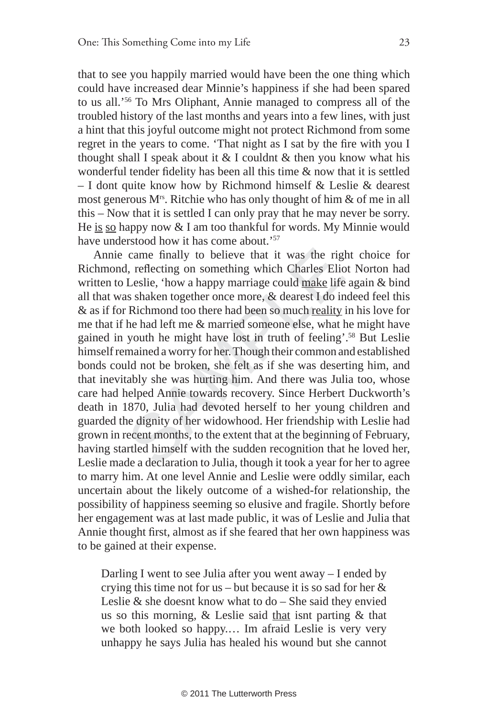that to see you happily married would have been the one thing which could have increased dear Minnie's happiness if she had been spared to us all.'56 To Mrs Oliphant, Annie managed to compress all of the troubled history of the last months and years into a few lines, with just a hint that this joyful outcome might not protect Richmond from some regret in the years to come. 'That night as I sat by the fire with you I thought shall I speak about it  $&$  I couldnt  $&$  then you know what his wonderful tender fidelity has been all this time  $\&$  now that it is settled – I dont quite know how by Richmond himself & Leslie & dearest most generous  $M^{\text{rs}}$ . Ritchie who has only thought of him  $\&$  of me in all this – Now that it is settled I can only pray that he may never be sorry. He is so happy now & I am too thankful for words. My Minnie would have understood how it has come about.'57

came finally to believe that it was the right, reflecting on something which Charles Elid Leslie, 'how a happy marriage could make life as shaken together once more, & dearest I do ir Richmond too there had been so much <u></u> Annie came finally to believe that it was the right choice for Richmond, reflecting on something which Charles Eliot Norton had written to Leslie, 'how a happy marriage could make life again & bind all that was shaken together once more, & dearest I do indeed feel this & as if for Richmond too there had been so much reality in his love for me that if he had left me & married someone else, what he might have gained in youth he might have lost in truth of feeling'.58 But Leslie himself remained a worry for her. Though their common and established bonds could not be broken, she felt as if she was deserting him, and that inevitably she was hurting him. And there was Julia too, whose care had helped Annie towards recovery. Since Herbert Duckworth's death in 1870, Julia had devoted herself to her young children and guarded the dignity of her widowhood. Her friendship with Leslie had grown in recent months, to the extent that at the beginning of February, having startled himself with the sudden recognition that he loved her, Leslie made a declaration to Julia, though it took a year for her to agree to marry him. At one level Annie and Leslie were oddly similar, each uncertain about the likely outcome of a wished-for relationship, the possibility of happiness seeming so elusive and fragile. Shortly before her engagement was at last made public, it was of Leslie and Julia that Annie thought first, almost as if she feared that her own happiness was to be gained at their expense.

Darling I went to see Julia after you went away – I ended by crying this time not for us – but because it is so sad for her  $\&$ Leslie  $\&$  she doesnt know what to do – She said they envied us so this morning, & Leslie said that isnt parting & that we both looked so happy.… Im afraid Leslie is very very unhappy he says Julia has healed his wound but she cannot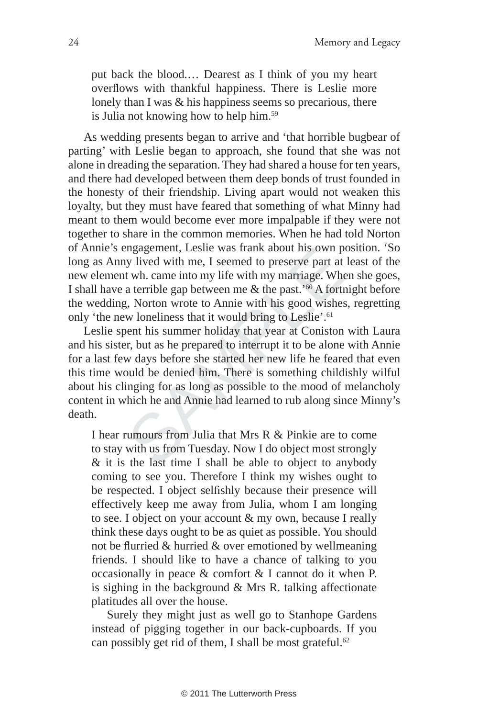put back the blood.… Dearest as I think of you my heart overflows with thankful happiness. There is Leslie more lonely than I was & his happiness seems so precarious, there is Julia not knowing how to help him.59

As wedding presents began to arrive and 'that horrible bugbear of parting' with Leslie began to approach, she found that she was not alone in dreading the separation. They had shared a house for ten years, and there had developed between them deep bonds of trust founded in the honesty of their friendship. Living apart would not weaken this loyalty, but they must have feared that something of what Minny had meant to them would become ever more impalpable if they were not together to share in the common memories. When he had told Norton of Annie's engagement, Leslie was frank about his own position. 'So long as Anny lived with me, I seemed to preserve part at least of the new element wh. came into my life with my marriage. When she goes, I shall have a terrible gap between me  $\&$  the past.<sup>'60</sup> A fortnight before the wedding, Norton wrote to Annie with his good wishes, regretting only 'the new loneliness that it would bring to Leslie'.<sup>61</sup>

rigagement, Lesne was frank about ins own p<br>ny lived with me, I seemed to preserve part at<br>t wh. came into my life with my marriage. Wh<br>a terrible gap between me & the past.'<sup>60</sup> A fortu<br>g, Norton wrote to Annie with his Leslie spent his summer holiday that year at Coniston with Laura and his sister, but as he prepared to interrupt it to be alone with Annie for a last few days before she started her new life he feared that even this time would be denied him. There is something childishly wilful about his clinging for as long as possible to the mood of melancholy content in which he and Annie had learned to rub along since Minny's death.

I hear rumours from Julia that Mrs R & Pinkie are to come to stay with us from Tuesday. Now I do object most strongly & it is the last time I shall be able to object to anybody coming to see you. Therefore I think my wishes ought to be respected. I object selfishly because their presence will effectively keep me away from Julia, whom I am longing to see. I object on your account & my own, because I really think these days ought to be as quiet as possible. You should not be flurried & hurried & over emotioned by wellmeaning friends. I should like to have a chance of talking to you occasionally in peace & comfort & I cannot do it when P. is sighing in the background & Mrs R. talking affectionate platitudes all over the house.

Surely they might just as well go to Stanhope Gardens instead of pigging together in our back-cupboards. If you can possibly get rid of them, I shall be most grateful.<sup>62</sup>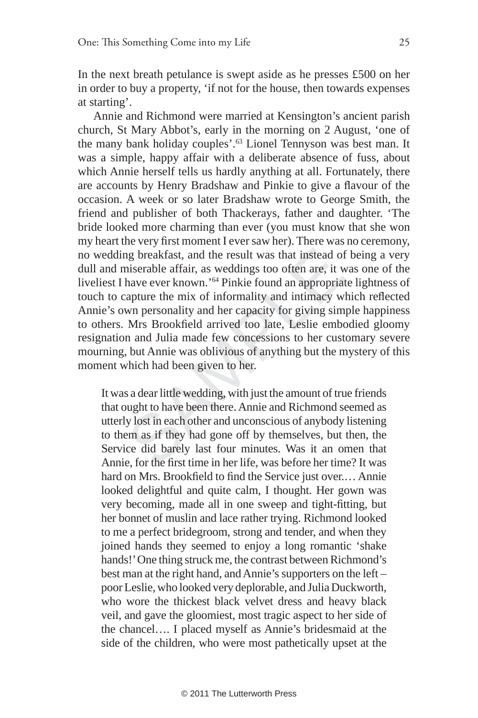In the next breath petulance is swept aside as he presses £500 on her in order to buy a property, 'if not for the house, then towards expenses at starting'.

ng breakfast, and the result was that instead of<br>miserable affair, as weddings too often are, it v<br>have ever known.'<sup>64</sup> Pinkie found an appropria<br>capture the mix of informality and intimacy w<br>wn personality and her capaci Annie and Richmond were married at Kensington's ancient parish church, St Mary Abbot's, early in the morning on 2 August, 'one of the many bank holiday couples'.63 Lionel Tennyson was best man. It was a simple, happy affair with a deliberate absence of fuss, about which Annie herself tells us hardly anything at all. Fortunately, there are accounts by Henry Bradshaw and Pinkie to give a flavour of the occasion. A week or so later Bradshaw wrote to George Smith, the friend and publisher of both Thackerays, father and daughter. 'The bride looked more charming than ever (you must know that she won my heart the very first moment I ever saw her). There was no ceremony, no wedding breakfast, and the result was that instead of being a very dull and miserable affair, as weddings too often are, it was one of the liveliest I have ever known.'64 Pinkie found an appropriate lightness of touch to capture the mix of informality and intimacy which reflected Annie's own personality and her capacity for giving simple happiness to others. Mrs Brookfield arrived too late, Leslie embodied gloomy resignation and Julia made few concessions to her customary severe mourning, but Annie was oblivious of anything but the mystery of this moment which had been given to her.

It was a dear little wedding, with just the amount of true friends that ought to have been there. Annie and Richmond seemed as utterly lost in each other and unconscious of anybody listening to them as if they had gone off by themselves, but then, the Service did barely last four minutes. Was it an omen that Annie, for the first time in her life, was before her time? It was hard on Mrs. Brookfield to find the Service just over.... Annie looked delightful and quite calm, I thought. Her gown was very becoming, made all in one sweep and tight-fitting, but her bonnet of muslin and lace rather trying. Richmond looked to me a perfect bridegroom, strong and tender, and when they joined hands they seemed to enjoy a long romantic 'shake hands!' One thing struck me, the contrast between Richmond's best man at the right hand, and Annie's supporters on the left – poor Leslie, who looked very deplorable, and Julia Duckworth, who wore the thickest black velvet dress and heavy black veil, and gave the gloomiest, most tragic aspect to her side of the chancel…. I placed myself as Annie's bridesmaid at the side of the children, who were most pathetically upset at the